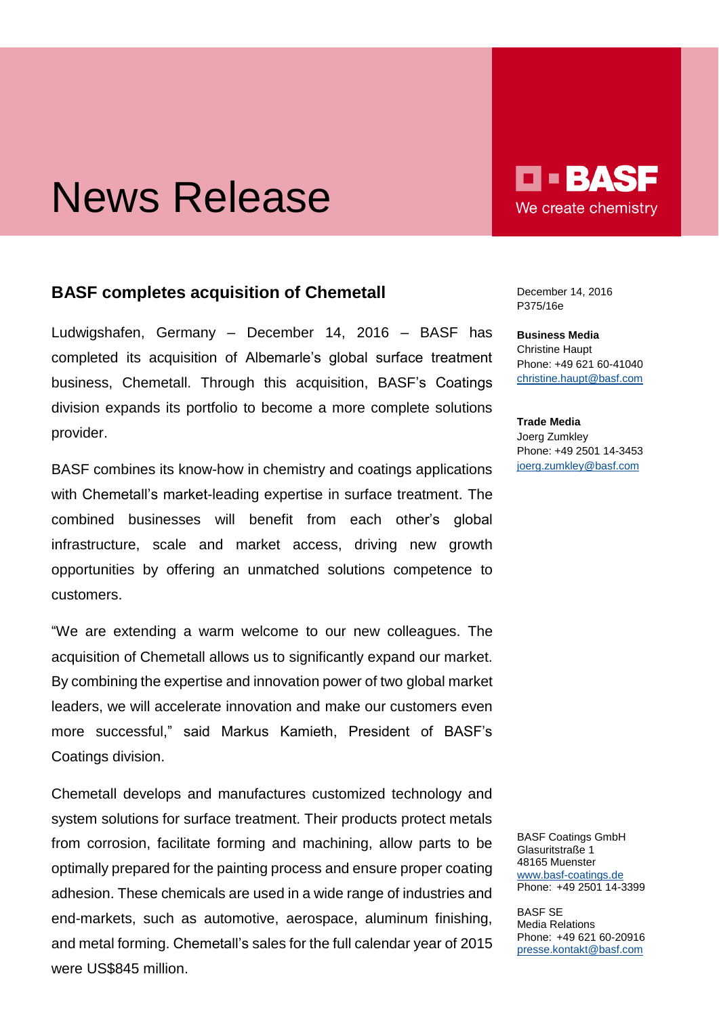## News Release

## **BASF completes acquisition of Chemetall**

Ludwigshafen, Germany – December 14, 2016 – BASF has completed its acquisition of Albemarle's global surface treatment business, Chemetall. Through this acquisition, BASF's Coatings division expands its portfolio to become a more complete solutions provider.

BASF combines its know-how in chemistry and coatings applications with Chemetall's market-leading expertise in surface treatment. The combined businesses will benefit from each other's global infrastructure, scale and market access, driving new growth opportunities by offering an unmatched solutions competence to customers.

"We are extending a warm welcome to our new colleagues. The acquisition of Chemetall allows us to significantly expand our market. By combining the expertise and innovation power of two global market leaders, we will accelerate innovation and make our customers even more successful," said Markus Kamieth, President of BASF's Coatings division.

Chemetall develops and manufactures customized technology and system solutions for surface treatment. Their products protect metals from corrosion, facilitate forming and machining, allow parts to be optimally prepared for the painting process and ensure proper coating adhesion. These chemicals are used in a wide range of industries and end-markets, such as automotive, aerospace, aluminum finishing, and metal forming. Chemetall's sales for the full calendar year of 2015 were US\$845 million.

**O - BAS** We create chemistry

December 14, 2016 P375/16e

**Business Media** Christine Haupt Phone: +49 621 60-41040 [christine.haupt@basf.com](mailto:christine.haupt@basf.com)

**Trade Media** Joerg Zumkley Phone: +49 2501 14-3453 [joerg.zumkley@basf.com](mailto:joerg.zumkley@basf.com)

BASF Coatings GmbH Glasuritstraße 1 48165 Muenster [www.basf-coatings.de](http://www.basf-coatings.de/) Phone: +49 2501 14-3399

BASF SE Media Relations Phone: +49 621 60-20916 [presse.kontakt@basf.com](mailto:presse.kontakt@basf.com)